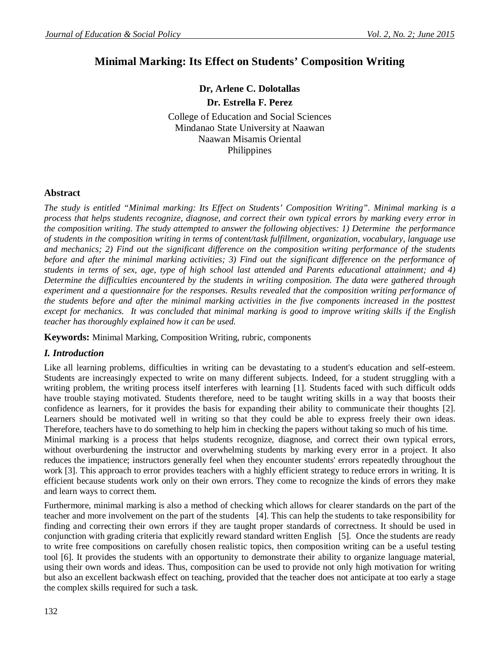# **Minimal Marking: Its Effect on Students' Composition Writing**

# **Dr, Arlene C. Dolotallas**

**Dr. Estrella F. Perez**

College of Education and Social Sciences Mindanao State University at Naawan Naawan Misamis Oriental Philippines

# **Abstract**

*The study is entitled "Minimal marking: Its Effect on Students' Composition Writing". Minimal marking is a process that helps students recognize, diagnose, and correct their own typical errors by marking every error in the composition writing. The study attempted to answer the following objectives: 1) Determine the performance of students in the composition writing in terms of content/task fulfillment, organization, vocabulary, language use and mechanics; 2) Find out the significant difference on the composition writing performance of the students before and after the minimal marking activities; 3) Find out the significant difference on the performance of students in terms of sex, age, type of high school last attended and Parents educational attainment; and 4) Determine the difficulties encountered by the students in writing composition. The data were gathered through experiment and a questionnaire for the responses. Results revealed that the composition writing performance of the students before and after the minimal marking activities in the five components increased in the posttest except for mechanics. It was concluded that minimal marking is good to improve writing skills if the English teacher has thoroughly explained how it can be used.*

**Keywords:** Minimal Marking, Composition Writing, rubric, components

# *I. Introduction*

Like all learning problems, difficulties in writing can be devastating to a student's education and self-esteem. Students are increasingly expected to write on many different subjects. Indeed, for a student struggling with a writing problem, the writing process itself interferes with learning [1]. Students faced with such difficult odds have trouble staying motivated. Students therefore, need to be taught writing skills in a way that boosts their confidence as learners, for it provides the basis for expanding their ability to communicate their thoughts [2]. Learners should be motivated well in writing so that they could be able to express freely their own ideas. Therefore, teachers have to do something to help him in checking the papers without taking so much of his time.

Minimal marking is a process that helps students recognize, diagnose, and correct their own typical errors, without overburdening the instructor and overwhelming students by marking every error in a project. It also reduces the impatience; instructors generally feel when they encounter students' errors repeatedly throughout the work [3]. This approach to error provides teachers with a highly efficient strategy to reduce errors in writing. It is efficient because students work only on their own errors. They come to recognize the kinds of errors they make and learn ways to correct them.

Furthermore, minimal marking is also a method of checking which allows for clearer standards on the part of the teacher and more involvement on the part of the students [4]. This can help the students to take responsibility for finding and correcting their own errors if they are taught proper standards of correctness. It should be used in conjunction with grading criteria that explicitly reward standard written English [5]. Once the students are ready to write free compositions on carefully chosen realistic topics, then composition writing can be a useful testing tool [6]. It provides the students with an opportunity to demonstrate their ability to organize language material, using their own words and ideas. Thus, composition can be used to provide not only high motivation for writing but also an excellent backwash effect on teaching, provided that the teacher does not anticipate at too early a stage the complex skills required for such a task.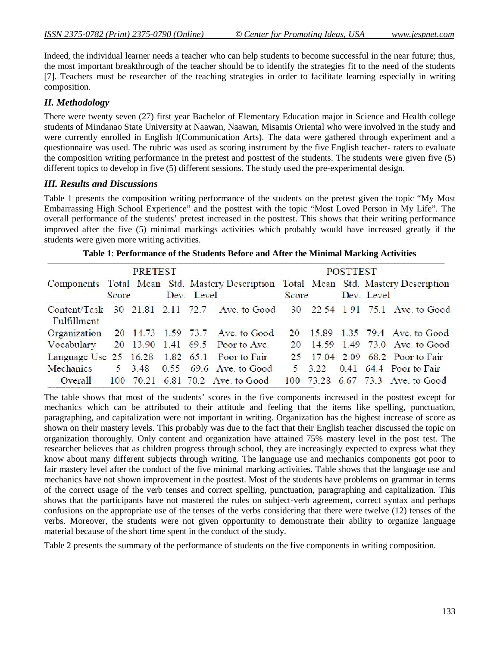Indeed, the individual learner needs a teacher who can help students to become successful in the near future; thus, the most important breakthrough of the teacher should be to identify the strategies fit to the need of the students [7]. Teachers must be researcher of the teaching strategies in order to facilitate learning especially in writing composition.

# *II. Methodology*

There were twenty seven (27) first year Bachelor of Elementary Education major in Science and Health college students of Mindanao State University at Naawan, Naawan, Misamis Oriental who were involved in the study and were currently enrolled in English I(Communication Arts). The data were gathered through experiment and a questionnaire was used. The rubric was used as scoring instrument by the five English teacher- raters to evaluate the composition writing performance in the pretest and posttest of the students. The students were given five (5) different topics to develop in five (5) different sessions. The study used the pre-experimental design.

### *III. Results and Discussions*

Table 1 presents the composition writing performance of the students on the pretest given the topic "My Most Embarrassing High School Experience" and the posttest with the topic "Most Loved Person in My Life". The overall performance of the students' pretest increased in the posttest. This shows that their writing performance improved after the five (5) minimal markings activities which probably would have increased greatly if the students were given more writing activities.

| PRETEST     |       |  |  |  | <b>POSTTEST</b>                                                                                  |       |  |  |            |                                  |
|-------------|-------|--|--|--|--------------------------------------------------------------------------------------------------|-------|--|--|------------|----------------------------------|
|             | Score |  |  |  | Components Total Mean Std. Mastery Description Total Mean Std. Mastery Description<br>Dev. Level | Score |  |  | Dev. Level |                                  |
| Fulfillment |       |  |  |  | Content/Task 30 21.81 2.11 72.7 Ave. to Good 30 22.54 1.91 75.1 Ave. to Good                     |       |  |  |            |                                  |
|             |       |  |  |  | Organization 20 14.73 1.59 73.7 Ave. to Good                                                     |       |  |  |            | 20 15.89 1.35 79.4 Ave. to Good  |
|             |       |  |  |  | Vocabulary 20 13.90 1.41 69.5 Poor to Ave.                                                       |       |  |  |            | 20 14.59 1.49 73.0 Ave. to Good  |
|             |       |  |  |  | Language Use 25 16.28 1.82 65.1 Poor to Fair                                                     |       |  |  |            | 25 17.04 2.09 68.2 Poor to Fair  |
|             |       |  |  |  | Mechanics 5 3.48 0.55 69.6 Ave. to Good                                                          |       |  |  |            | 5 3.22 0.41 64.4 Poor to Fair    |
|             |       |  |  |  | Overall 100 70.21 6.81 70.2 Ave. to Good                                                         |       |  |  |            | 100 73.28 6.67 73.3 Ave. to Good |

The table shows that most of the students' scores in the five components increased in the posttest except for mechanics which can be attributed to their attitude and feeling that the items like spelling, punctuation, paragraphing, and capitalization were not important in writing. Organization has the highest increase of score as shown on their mastery levels. This probably was due to the fact that their English teacher discussed the topic on organization thoroughly. Only content and organization have attained 75% mastery level in the post test. The researcher believes that as children progress through school, they are increasingly expected to express what they know about many different subjects through writing. The language use and mechanics components got poor to fair mastery level after the conduct of the five minimal marking activities. Table shows that the language use and mechanics have not shown improvement in the posttest. Most of the students have problems on grammar in terms of the correct usage of the verb tenses and correct spelling, punctuation, paragraphing and capitalization. This shows that the participants have not mastered the rules on subject-verb agreement, correct syntax and perhaps confusions on the appropriate use of the tenses of the verbs considering that there were twelve (12) tenses of the verbs. Moreover, the students were not given opportunity to demonstrate their ability to organize language material because of the short time spent in the conduct of the study.

Table 2 presents the summary of the performance of students on the five components in writing composition.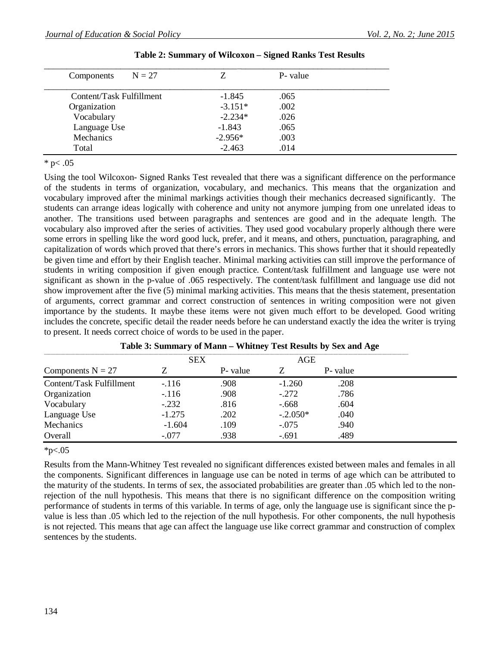| $N = 27$<br>Components   | Z.        | P- value |  |
|--------------------------|-----------|----------|--|
| Content/Task Fulfillment | $-1.845$  | .065     |  |
| Organization             | $-3.151*$ | .002     |  |
| Vocabulary               | $-2.234*$ | .026     |  |
| Language Use             | $-1.843$  | .065     |  |
| Mechanics                | $-2.956*$ | .003     |  |
| Total                    | $-2.463$  | .014     |  |

#### **Table 2: Summary of Wilcoxon – Signed Ranks Test Results**

 $*$  p $< .05$ 

Using the tool Wilcoxon- Signed Ranks Test revealed that there was a significant difference on the performance of the students in terms of organization, vocabulary, and mechanics. This means that the organization and vocabulary improved after the minimal markings activities though their mechanics decreased significantly. The students can arrange ideas logically with coherence and unity not anymore jumping from one unrelated ideas to another. The transitions used between paragraphs and sentences are good and in the adequate length. The vocabulary also improved after the series of activities. They used good vocabulary properly although there were some errors in spelling like the word good luck, prefer, and it means, and others, punctuation, paragraphing, and capitalization of words which proved that there's errors in mechanics. This shows further that it should repeatedly be given time and effort by their English teacher. Minimal marking activities can still improve the performance of students in writing composition if given enough practice. Content/task fulfillment and language use were not significant as shown in the p-value of .065 respectively. The content/task fulfillment and language use did not show improvement after the five (5) minimal marking activities. This means that the thesis statement, presentation of arguments, correct grammar and correct construction of sentences in writing composition were not given importance by the students. It maybe these items were not given much effort to be developed. Good writing includes the concrete, specific detail the reader needs before he can understand exactly the idea the writer is trying to present. It needs correct choice of words to be used in the paper.

|                          | <b>SEX</b> |          | AGE        |         |
|--------------------------|------------|----------|------------|---------|
| Components $N = 27$      |            | P- value |            | P-value |
| Content/Task Fulfillment | $-116$     | .908     | $-1.260$   | .208    |
| Organization             | $-116$     | .908     | $-.272$    | .786    |
| Vocabulary               | $-.232$    | .816     | $-.668$    | .604    |
| Language Use             | $-1.275$   | .202     | $-.2.050*$ | .040    |
| Mechanics                | $-1.604$   | .109     | $-.075$    | .940    |
| Overall                  | $-.077$    | .938     | $-.691$    | .489    |

 $*p<.05$ 

Results from the Mann-Whitney Test revealed no significant differences existed between males and females in all the components. Significant differences in language use can be noted in terms of age which can be attributed to the maturity of the students. In terms of sex, the associated probabilities are greater than .05 which led to the nonrejection of the null hypothesis. This means that there is no significant difference on the composition writing performance of students in terms of this variable. In terms of age, only the language use is significant since the pvalue is less than .05 which led to the rejection of the null hypothesis. For other components, the null hypothesis is not rejected. This means that age can affect the language use like correct grammar and construction of complex sentences by the students.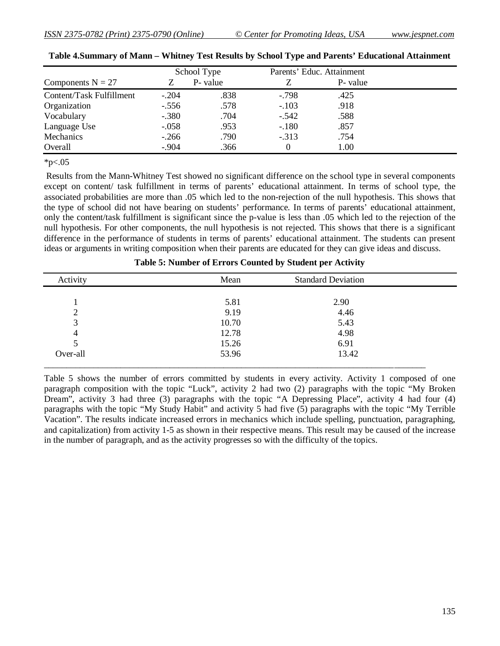|                          |         | School Type | Parents' Educ. Attainment |          |  |
|--------------------------|---------|-------------|---------------------------|----------|--|
| Components $N = 27$      |         | P- value    |                           | P- value |  |
| Content/Task Fulfillment | $-.204$ | .838        | $-.798$                   | .425     |  |
| Organization             | $-.556$ | .578        | $-.103$                   | .918     |  |
| Vocabulary               | $-.380$ | .704        | $-.542$                   | .588     |  |
| Language Use             | $-.058$ | .953        | $-.180$                   | .857     |  |
| Mechanics                | $-.266$ | .790        | $-.313$                   | .754     |  |
| Overall                  | $-.904$ | .366        |                           | 1.00     |  |

| Table 4. Summary of Mann - Whitney Test Results by School Type and Parents' Educational Attainment |  |  |  |  |
|----------------------------------------------------------------------------------------------------|--|--|--|--|
|----------------------------------------------------------------------------------------------------|--|--|--|--|

 $*p<.05$ 

Results from the Mann-Whitney Test showed no significant difference on the school type in several components except on content/ task fulfillment in terms of parents' educational attainment. In terms of school type, the associated probabilities are more than .05 which led to the non-rejection of the null hypothesis. This shows that the type of school did not have bearing on students' performance. In terms of parents' educational attainment, only the content/task fulfillment is significant since the p-value is less than .05 which led to the rejection of the null hypothesis. For other components, the null hypothesis is not rejected. This shows that there is a significant difference in the performance of students in terms of parents' educational attainment. The students can present ideas or arguments in writing composition when their parents are educated for they can give ideas and discuss.

| Activity | Mean  | <b>Standard Deviation</b> |  |
|----------|-------|---------------------------|--|
|          |       |                           |  |
|          | 5.81  | 2.90                      |  |
| ∍        | 9.19  | 4.46                      |  |
| 3        | 10.70 | 5.43                      |  |
| 4        | 12.78 | 4.98                      |  |
| 5        | 15.26 | 6.91                      |  |
| Over-all | 53.96 | 13.42                     |  |
|          |       |                           |  |

Table 5 shows the number of errors committed by students in every activity. Activity 1 composed of one paragraph composition with the topic "Luck", activity 2 had two (2) paragraphs with the topic "My Broken Dream", activity 3 had three (3) paragraphs with the topic "A Depressing Place", activity 4 had four (4) paragraphs with the topic "My Study Habit" and activity 5 had five (5) paragraphs with the topic "My Terrible Vacation". The results indicate increased errors in mechanics which include spelling, punctuation, paragraphing, and capitalization) from activity 1-5 as shown in their respective means. This result may be caused of the increase in the number of paragraph, and as the activity progresses so with the difficulty of the topics.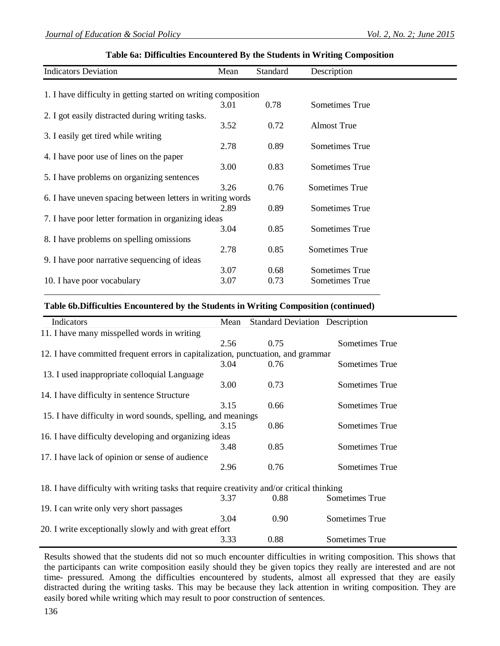#### **Table 6a: Difficulties Encountered By the Students in Writing Composition**

| <b>Indicators Deviation</b>                                    | Mean | Standard | Description        |  |
|----------------------------------------------------------------|------|----------|--------------------|--|
|                                                                |      |          |                    |  |
| 1. I have difficulty in getting started on writing composition |      |          |                    |  |
|                                                                | 3.01 | 0.78     | Sometimes True     |  |
| 2. I got easily distracted during writing tasks.               |      |          |                    |  |
|                                                                | 3.52 | 0.72     | <b>Almost True</b> |  |
| 3. I easily get tired while writing                            |      |          |                    |  |
|                                                                | 2.78 | 0.89     | Sometimes True     |  |
| 4. I have poor use of lines on the paper                       |      |          |                    |  |
|                                                                | 3.00 | 0.83     | Sometimes True     |  |
| 5. I have problems on organizing sentences                     |      |          |                    |  |
|                                                                | 3.26 | 0.76     | Sometimes True     |  |
| 6. I have uneven spacing between letters in writing words      |      |          |                    |  |
|                                                                | 2.89 | 0.89     | Sometimes True     |  |
| 7. I have poor letter formation in organizing ideas            |      |          |                    |  |
|                                                                | 3.04 | 0.85     | Sometimes True     |  |
| 8. I have problems on spelling omissions                       |      |          |                    |  |
|                                                                | 2.78 | 0.85     | Sometimes True     |  |
| 9. I have poor narrative sequencing of ideas                   |      |          |                    |  |
|                                                                | 3.07 | 0.68     | Sometimes True     |  |
| 10. I have poor vocabulary                                     | 3.07 | 0.73     | Sometimes True     |  |

#### **Table 6b.Difficulties Encountered by the Students in Writing Composition (continued)**

\_\_\_\_\_\_\_\_\_\_\_\_\_\_\_\_\_\_\_\_\_\_\_\_\_\_\_\_\_\_\_\_\_\_\_\_\_\_\_\_\_\_\_\_\_\_\_\_\_\_\_\_\_\_\_\_\_\_\_\_\_\_\_\_\_\_\_\_\_\_\_\_\_\_\_

| Indicators                                                                                | Mean | <b>Standard Deviation Description</b> |                |
|-------------------------------------------------------------------------------------------|------|---------------------------------------|----------------|
| 11. I have many misspelled words in writing                                               |      |                                       |                |
|                                                                                           | 2.56 | 0.75                                  | Sometimes True |
| 12. I have committed frequent errors in capitalization, punctuation, and grammar          |      |                                       |                |
|                                                                                           | 3.04 | 0.76                                  | Sometimes True |
| 13. I used inappropriate colloquial Language                                              |      |                                       |                |
|                                                                                           | 3.00 | 0.73                                  | Sometimes True |
| 14. I have difficulty in sentence Structure                                               |      |                                       |                |
|                                                                                           | 3.15 | 0.66                                  | Sometimes True |
| 15. I have difficulty in word sounds, spelling, and meanings                              |      |                                       |                |
|                                                                                           | 3.15 | 0.86                                  | Sometimes True |
| 16. I have difficulty developing and organizing ideas                                     |      |                                       |                |
|                                                                                           | 3.48 | 0.85                                  | Sometimes True |
| 17. I have lack of opinion or sense of audience                                           |      |                                       |                |
|                                                                                           | 2.96 | 0.76                                  | Sometimes True |
| 18. I have difficulty with writing tasks that require creativity and/or critical thinking |      |                                       |                |
|                                                                                           | 3.37 | 0.88                                  | Sometimes True |
| 19. I can write only very short passages                                                  |      |                                       |                |
|                                                                                           | 3.04 | 0.90                                  | Sometimes True |
| 20. I write exceptionally slowly and with great effort                                    |      |                                       |                |
|                                                                                           | 3.33 | 0.88                                  | Sometimes True |

Results showed that the students did not so much encounter difficulties in writing composition. This shows that the participants can write composition easily should they be given topics they really are interested and are not time- pressured. Among the difficulties encountered by students, almost all expressed that they are easily distracted during the writing tasks. This may be because they lack attention in writing composition. They are easily bored while writing which may result to poor construction of sentences.